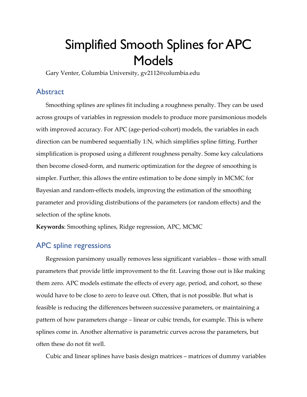# Simplified Smooth Splines for APC **Models**

Gary Venter, Columbia University, gv2112@columbia.edu

### Abstract

Smoothing splines are splines fit including a roughness penalty. They can be used across groups of variables in regression models to produce more parsimonious models with improved accuracy. For APC (age-period-cohort) models, the variables in each direction can be numbered sequentially 1:N, which simplifies spline fitting. Further simplification is proposed using a different roughness penalty. Some key calculations then become closed-form, and numeric optimization for the degree of smoothing is simpler. Further, this allows the entire estimation to be done simply in MCMC for Bayesian and random-effects models, improving the estimation of the smoothing parameter and providing distributions of the parameters (or random effects) and the selection of the spline knots.

**Keywords**: Smoothing splines, Ridge regression, APC, MCMC

## APC spline regressions

Regression parsimony usually removes less significant variables – those with small parameters that provide little improvement to the fit. Leaving those out is like making them zero. APC models estimate the effects of every age, period, and cohort, so these would have to be close to zero to leave out. Often, that is not possible. But what is feasible is reducing the differences between successive parameters, or maintaining a pattern of how parameters change – linear or cubic trends, for example. This is where splines come in. Another alternative is parametric curves across the parameters, but often these do not fit well.

Cubic and linear splines have basis design matrices – matrices of dummy variables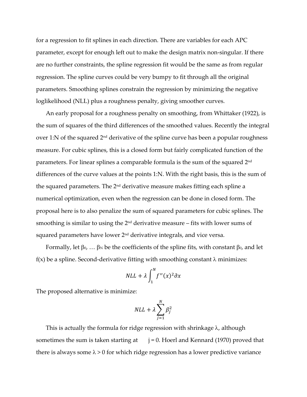for a regression to fit splines in each direction. There are variables for each APC parameter, except for enough left out to make the design matrix non-singular. If there are no further constraints, the spline regression fit would be the same as from regular regression. The spline curves could be very bumpy to fit through all the original parameters. Smoothing splines constrain the regression by minimizing the negative loglikelihood (NLL) plus a roughness penalty, giving smoother curves.

An early proposal for a roughness penalty on smoothing, from Whittaker (1922), is the sum of squares of the third differences of the smoothed values. Recently the integral over 1:N of the squared 2<sup>nd</sup> derivative of the spline curve has been a popular roughness measure. For cubic splines, this is a closed form but fairly complicated function of the parameters. For linear splines a comparable formula is the sum of the squared 2nd differences of the curve values at the points 1:N. With the right basis, this is the sum of the squared parameters. The  $2<sup>nd</sup>$  derivative measure makes fitting each spline a numerical optimization, even when the regression can be done in closed form. The proposal here is to also penalize the sum of squared parameters for cubic splines. The smoothing is similar to using the  $2<sup>nd</sup>$  derivative measure – fits with lower sums of squared parameters have lower 2<sup>nd</sup> derivative integrals, and vice versa.

Formally, let  $\beta_0$ , ...  $\beta_N$  be the coefficients of the spline fits, with constant  $\beta_0$ , and let  $f(x)$  be a spline. Second-derivative fitting with smoothing constant  $\lambda$  minimizes:

$$
NLL + \lambda \int_{1}^{N} f''(x)^2 \partial x
$$

The proposed alternative is minimize:

$$
NLL + \lambda \sum_{j=1}^N \beta_j^2
$$

This is actually the formula for ridge regression with shrinkage  $\lambda$ , although sometimes the sum is taken starting at  $j = 0$ . Hoerl and Kennard (1970) proved that there is always some  $\lambda > 0$  for which ridge regression has a lower predictive variance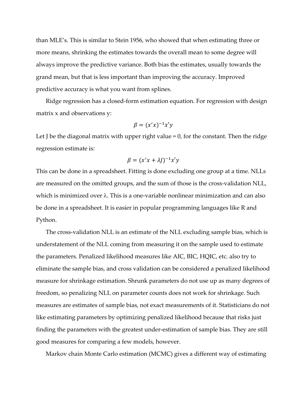than MLE's. This is similar to Stein 1956, who showed that when estimating three or more means, shrinking the estimates towards the overall mean to some degree will always improve the predictive variance. Both bias the estimates, usually towards the grand mean, but that is less important than improving the accuracy. Improved predictive accuracy is what you want from splines.

Ridge regression has a closed-form estimation equation. For regression with design matrix x and observations y:

$$
\beta = (x'x)^{-1}x'y
$$

Let J be the diagonal matrix with upper right value  $= 0$ , for the constant. Then the ridge regression estimate is:

$$
\beta = (x'x + \lambda J)^{-1}x'y
$$

This can be done in a spreadsheet. Fitting is done excluding one group at a time. NLLs are measured on the omitted groups, and the sum of those is the cross-validation NLL, which is minimized over  $\lambda$ . This is a one-variable nonlinear minimization and can also be done in a spreadsheet. It is easier in popular programming languages like R and Python.

The cross-validation NLL is an estimate of the NLL excluding sample bias, which is understatement of the NLL coming from measuring it on the sample used to estimate the parameters. Penalized likelihood measures like AIC, BIC, HQIC, etc. also try to eliminate the sample bias, and cross validation can be considered a penalized likelihood measure for shrinkage estimation. Shrunk parameters do not use up as many degrees of freedom, so penalizing NLL on parameter counts does not work for shrinkage. Such measures are estimates of sample bias, not exact measurements of it. Statisticians do not like estimating parameters by optimizing penalized likelihood because that risks just finding the parameters with the greatest under-estimation of sample bias. They are still good measures for comparing a few models, however.

Markov chain Monte Carlo estimation (MCMC) gives a different way of estimating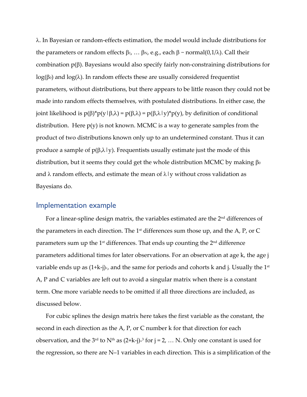$\lambda$ . In Bayesian or random-effects estimation, the model would include distributions for the parameters or random effects  $\beta_1$ , ...  $\beta_N$ , e.g., each  $\beta \sim \text{normal}(0,1/\lambda)$ . Call their combination  $p(\beta)$ . Bayesians would also specify fairly non-constraining distributions for  $log(\beta_0)$  and  $log(\lambda)$ . In random effects these are usually considered frequentist parameters, without distributions, but there appears to be little reason they could not be made into random effects themselves, with postulated distributions. In either case, the joint likelihood is  $p(\beta)^*p(y|\beta,\lambda) = p(\beta,\lambda) = p(\beta,\lambda|y)^*p(y)$ , by definition of conditional distribution. Here  $p(y)$  is not known. MCMC is a way to generate samples from the product of two distributions known only up to an undetermined constant. Thus it can produce a sample of  $p(\beta,\lambda|y)$ . Frequentists usually estimate just the mode of this distribution, but it seems they could get the whole distribution MCMC by making  $\beta_0$ and  $\lambda$  random effects, and estimate the mean of  $\lambda|y$  without cross validation as Bayesians do.

#### Implementation example

For a linear-spline design matrix, the variables estimated are the 2<sup>nd</sup> differences of the parameters in each direction. The 1<sup>st</sup> differences sum those up, and the A, P, or C parameters sum up the  $1<sup>st</sup>$  differences. That ends up counting the  $2<sup>nd</sup>$  difference parameters additional times for later observations. For an observation at age k, the age j variable ends up as  $(1+k-j)_t$ , and the same for periods and cohorts k and j. Usually the  $1^{st}$ A, P and C variables are left out to avoid a singular matrix when there is a constant term. One more variable needs to be omitted if all three directions are included, as discussed below.

For cubic splines the design matrix here takes the first variable as the constant, the second in each direction as the A, P, or C number k for that direction for each observation, and the 3<sup>rd</sup> to N<sup>th</sup> as  $(2+k-j)^{3}$  for  $j = 2, ... N$ . Only one constant is used for the regression, so there are N–1 variables in each direction. This is a simplification of the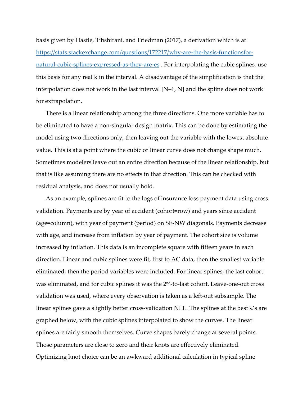basis given by Hastie, Tibshirani, and Friedman (2017), a derivation which is at https://stats.stackexchange.com/questions/172217/why-are-the-basis-functionsfornatural-cubic-splines-expressed-as-they-are-es . For interpolating the cubic splines, use this basis for any real k in the interval. A disadvantage of the simplification is that the interpolation does not work in the last interval [N–1, N] and the spline does not work for extrapolation.

There is a linear relationship among the three directions. One more variable has to be eliminated to have a non-singular design matrix. This can be done by estimating the model using two directions only, then leaving out the variable with the lowest absolute value. This is at a point where the cubic or linear curve does not change shape much. Sometimes modelers leave out an entire direction because of the linear relationship, but that is like assuming there are no effects in that direction. This can be checked with residual analysis, and does not usually hold.

As an example, splines are fit to the logs of insurance loss payment data using cross validation. Payments are by year of accident (cohort=row) and years since accident (age=column), with year of payment (period) on SE-NW diagonals. Payments decrease with age, and increase from inflation by year of payment. The cohort size is volume increased by inflation. This data is an incomplete square with fifteen years in each direction. Linear and cubic splines were fit, first to AC data, then the smallest variable eliminated, then the period variables were included. For linear splines, the last cohort was eliminated, and for cubic splines it was the 2nd-to-last cohort. Leave-one-out cross validation was used, where every observation is taken as a left-out subsample. The linear splines gave a slightly better cross-validation NLL. The splines at the best  $\lambda$ 's are graphed below, with the cubic splines interpolated to show the curves. The linear splines are fairly smooth themselves. Curve shapes barely change at several points. Those parameters are close to zero and their knots are effectively eliminated. Optimizing knot choice can be an awkward additional calculation in typical spline